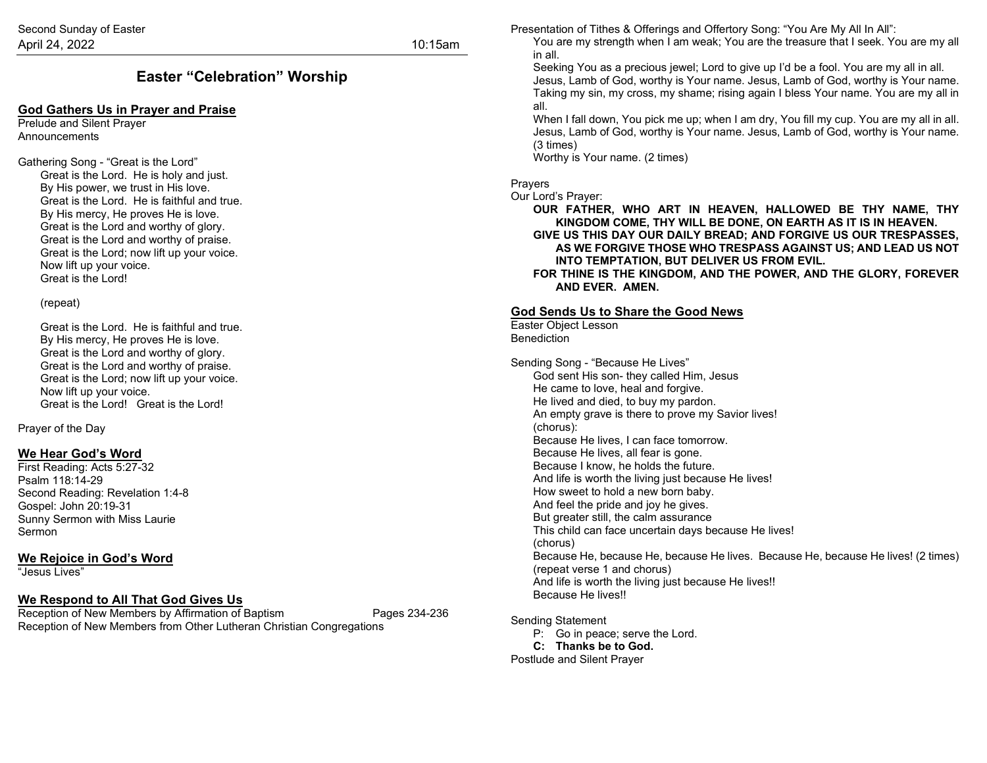# **Easter "Celebration" Worship**

## **God Gathers Us in Prayer and Praise**

Prelude and Silent Prayer Announcements

Gathering Song - "Great is the Lord" Great is the Lord. He is holy and just. By His power, we trust in His love. Great is the Lord. He is faithful and true. By His mercy, He proves He is love. Great is the Lord and worthy of glory. Great is the Lord and worthy of praise. Great is the Lord; now lift up your voice. Now lift up your voice. Great is the Lord!

### (repeat)

Great is the Lord. He is faithful and true. By His mercy, He proves He is love. Great is the Lord and worthy of glory. Great is the Lord and worthy of praise. Great is the Lord; now lift up your voice. Now lift up your voice. Great is the Lord! Great is the Lord!

Prayer of the Day

## **We Hear God's Word**

First Reading: Acts 5:27-32 Psalm 118:14-29 Second Reading: Revelation 1:4-8 Gospel: John 20:19-31 Sunny Sermon with Miss Laurie Sermon

## **We Rejoice in God's Word**

"Jesus Lives"

# **We Respond to All That God Gives Us**

Reception of New Members by Affirmation of Baptism Pages 234-236 Reception of New Members from Other Lutheran Christian Congregations

Presentation of Tithes & Offerings and Offertory Song: "You Are My All In All":

You are my strength when I am weak; You are the treasure that I seek. You are my all in all.

Seeking You as a precious jewel; Lord to give up I'd be a fool. You are my all in all. Jesus, Lamb of God, worthy is Your name. Jesus, Lamb of God, worthy is Your name. Taking my sin, my cross, my shame; rising again I bless Your name. You are my all in all.

When I fall down, You pick me up; when I am dry, You fill my cup. You are my all in all. Jesus, Lamb of God, worthy is Your name. Jesus, Lamb of God, worthy is Your name. (3 times)

Worthy is Your name. (2 times)

### **Pravers**

Our Lord's Prayer:

**OUR FATHER, WHO ART IN HEAVEN, HALLOWED BE THY NAME, THY KINGDOM COME, THY WILL BE DONE, ON EARTH AS IT IS IN HEAVEN. GIVE US THIS DAY OUR DAILY BREAD; AND FORGIVE US OUR TRESPASSES, AS WE FORGIVE THOSE WHO TRESPASS AGAINST US; AND LEAD US NOT INTO TEMPTATION, BUT DELIVER US FROM EVIL.**

**FOR THINE IS THE KINGDOM, AND THE POWER, AND THE GLORY, FOREVER AND EVER. AMEN.**

### **God Sends Us to Share the Good News**

Easter Object Lesson **Benediction** 

Sending Song - "Because He Lives"

God sent His son- they called Him, Jesus He came to love, heal and forgive. He lived and died, to buy my pardon. An empty grave is there to prove my Savior lives! (chorus): Because He lives, I can face tomorrow. Because He lives, all fear is gone. Because I know, he holds the future. And life is worth the living just because He lives! How sweet to hold a new born baby. And feel the pride and joy he gives. But greater still, the calm assurance This child can face uncertain days because He lives! (chorus) Because He, because He, because He lives. Because He, because He lives! (2 times) (repeat verse 1 and chorus) And life is worth the living just because He lives!! Because He lives!!

Sending Statement

- P: Go in peace; serve the Lord.
- **C: Thanks be to God.**

Postlude and Silent Prayer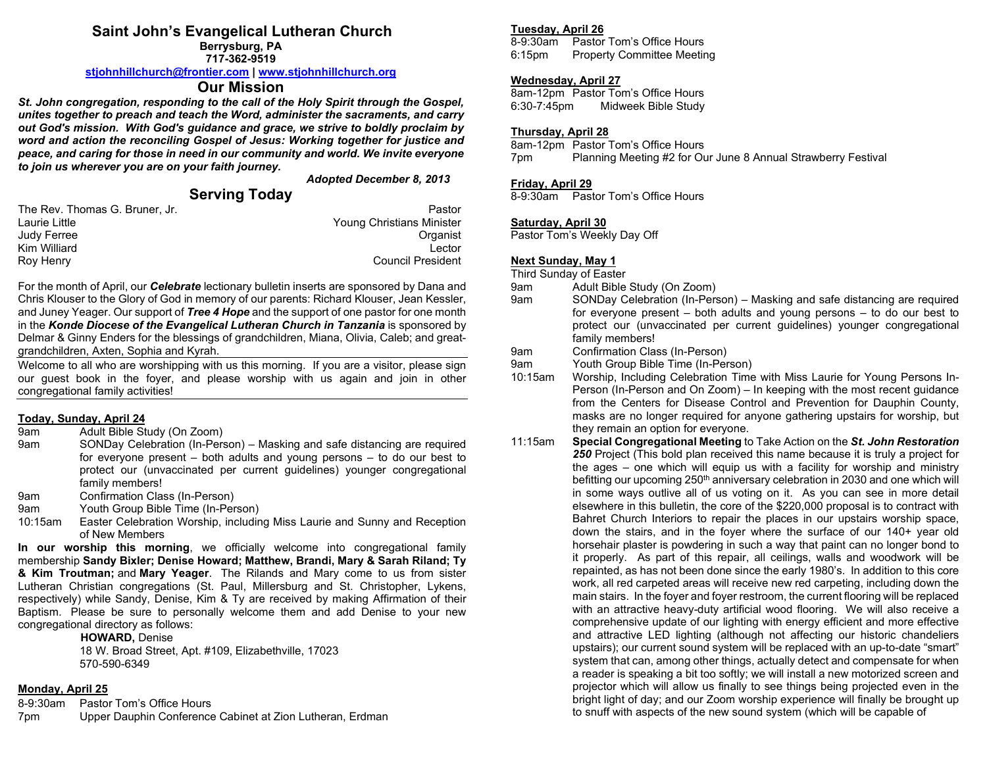# **Saint John's Evangelical Lutheran Church**

**Berrysburg, PA 717-362-9519**

**[stjohnhillchurch@frontier.com](mailto:stjohnhillchurch@frontier.com) | [www.stjohnhillchurch.org](http://www.stjohnhillchurch.org/)**

# **Our Mission**

*St. John congregation, responding to the call of the Holy Spirit through the Gospel, unites together to preach and teach the Word, administer the sacraments, and carry out God's mission. With God's guidance and grace, we strive to boldly proclaim by word and action the reconciling Gospel of Jesus: Working together for justice and peace, and caring for those in need in our community and world. We invite everyone to join us wherever you are on your faith journey.*

*Adopted December 8, 2013*

# **Serving Today**

| Pastor                    |
|---------------------------|
| Young Christians Minister |
| Organist                  |
| I ector                   |
| <b>Council President</b>  |
|                           |

For the month of April, our *Celebrate* lectionary bulletin inserts are sponsored by Dana and Chris Klouser to the Glory of God in memory of our parents: Richard Klouser, Jean Kessler, and Juney Yeager. Our support of *Tree 4 Hope* and the support of one pastor for one month in the *Konde Diocese of the Evangelical Lutheran Church in Tanzania* is sponsored by Delmar & Ginny Enders for the blessings of grandchildren, Miana, Olivia, Caleb; and greatgrandchildren, Axten, Sophia and Kyrah.

Welcome to all who are worshipping with us this morning. If you are a visitor, please sign our guest book in the foyer, and please worship with us again and join in other congregational family activities!

# **Today, Sunday, April 24**

- Adult Bible Study (On Zoom)
- 9am SONDay Celebration (In-Person) Masking and safe distancing are required for everyone present – both adults and young persons – to do our best to protect our (unvaccinated per current guidelines) younger congregational family members!
- 9am Confirmation Class (In-Person)
- 9am Youth Group Bible Time (In-Person)
- 10:15am Easter Celebration Worship, including Miss Laurie and Sunny and Reception of New Members

**In our worship this morning**, we officially welcome into congregational family membership **Sandy Bixler; Denise Howard; Matthew, Brandi, Mary & Sarah Riland; Ty & Kim Troutman;** and **Mary Yeager**. The Rilands and Mary come to us from sister Lutheran Christian congregations (St. Paul, Millersburg and St. Christopher, Lykens, respectively) while Sandy, Denise, Kim & Ty are received by making Affirmation of their Baptism. Please be sure to personally welcome them and add Denise to your new congregational directory as follows:

## **HOWARD,** Denise

18 W. Broad Street, Apt. #109, Elizabethville, 17023 570-590-6349

## **Monday, April 25**

8-9:30am Pastor Tom's Office Hours 7pm Upper Dauphin Conference Cabinet at Zion Lutheran, Erdman

# **Tuesday, April 26**

Pastor Tom's Office Hours 6:15pm Property Committee Meeting

### **Wednesday, April 27**

8am-12pm Pastor Tom's Office Hours<br>6:30-7:45pm Midweek Bible Study Midweek Bible Study

### **Thursday, April 28**

8am-12pm Pastor Tom's Office Hours 7pm Planning Meeting #2 for Our June 8 Annual Strawberry Festival

### **Friday, April 29**

8-9:30am Pastor Tom's Office Hours

#### **Saturday, April 30**

Pastor Tom's Weekly Day Off

### **Next Sunday, May 1**

Third Sunday of Easter

- 9am Adult Bible Study (On Zoom)
- 9am SONDay Celebration (In-Person) Masking and safe distancing are required for everyone present – both adults and young persons – to do our best to protect our (unvaccinated per current guidelines) younger congregational family members!
- 9am Confirmation Class (In-Person)

9am Youth Group Bible Time (In-Person)

- 10:15am Worship, Including Celebration Time with Miss Laurie for Young Persons In-Person (In-Person and On Zoom) – In keeping with the most recent guidance from the Centers for Disease Control and Prevention for Dauphin County, masks are no longer required for anyone gathering upstairs for worship, but they remain an option for everyone.
- 11:15am **Special Congregational Meeting** to Take Action on the *St. John Restoration 250* Project (This bold plan received this name because it is truly a project for the ages – one which will equip us with a facility for worship and ministry befitting our upcoming 250<sup>th</sup> anniversary celebration in 2030 and one which will in some ways outlive all of us voting on it. As you can see in more detail elsewhere in this bulletin, the core of the \$220,000 proposal is to contract with Bahret Church Interiors to repair the places in our upstairs worship space, down the stairs, and in the foyer where the surface of our 140+ year old horsehair plaster is powdering in such a way that paint can no longer bond to it properly. As part of this repair, all ceilings, walls and woodwork will be repainted, as has not been done since the early 1980's. In addition to this core work, all red carpeted areas will receive new red carpeting, including down the main stairs. In the foyer and foyer restroom, the current flooring will be replaced with an attractive heavy-duty artificial wood flooring. We will also receive a comprehensive update of our lighting with energy efficient and more effective and attractive LED lighting (although not affecting our historic chandeliers upstairs); our current sound system will be replaced with an up-to-date "smart" system that can, among other things, actually detect and compensate for when a reader is speaking a bit too softly; we will install a new motorized screen and projector which will allow us finally to see things being projected even in the bright light of day; and our Zoom worship experience will finally be brought up to snuff with aspects of the new sound system (which will be capable of